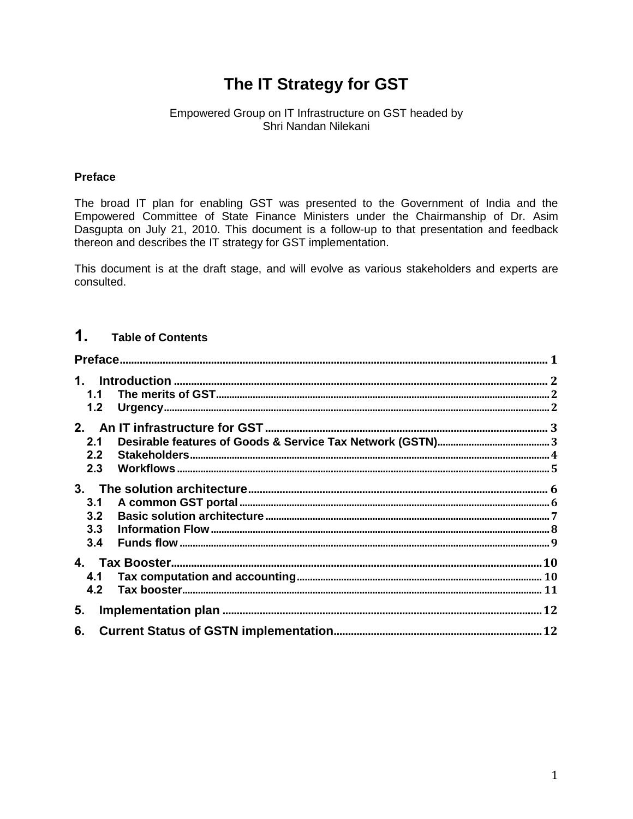# The IT Strategy for GST

#### Empowered Group on IT Infrastructure on GST headed by Shri Nandan Nilekani

#### **Preface**

The broad IT plan for enabling GST was presented to the Government of India and the Empowered Committee of State Finance Ministers under the Chairmanship of Dr. Asim Dasgupta on July 21, 2010. This document is a follow-up to that presentation and feedback thereon and describes the IT strategy for GST implementation.

This document is at the draft stage, and will evolve as various stakeholders and experts are consulted.

#### $\mathbf 1$ . **Table of Contents**

| 1.1<br>1.2               |  |
|--------------------------|--|
| 2.1<br>2.2<br>2.3        |  |
| 3.1<br>3.2<br>3.3<br>3.4 |  |
| 4.1                      |  |
| 5.<br>6.                 |  |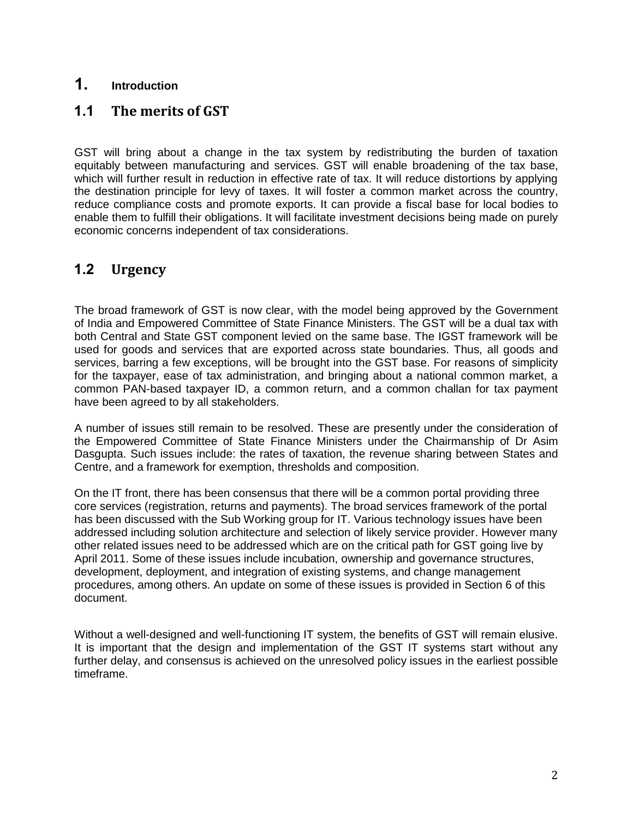#### **1. Introduction**

#### **1.1 The merits of GST**

GST will bring about a change in the tax system by redistributing the burden of taxation equitably between manufacturing and services. GST will enable broadening of the tax base, which will further result in reduction in effective rate of tax. It will reduce distortions by applying the destination principle for levy of taxes. It will foster a common market across the country, reduce compliance costs and promote exports. It can provide a fiscal base for local bodies to enable them to fulfill their obligations. It will facilitate investment decisions being made on purely economic concerns independent of tax considerations.

## **1.2 Urgency**

The broad framework of GST is now clear, with the model being approved by the Government of India and Empowered Committee of State Finance Ministers. The GST will be a dual tax with both Central and State GST component levied on the same base. The IGST framework will be used for goods and services that are exported across state boundaries. Thus, all goods and services, barring a few exceptions, will be brought into the GST base. For reasons of simplicity for the taxpayer, ease of tax administration, and bringing about a national common market, a common PAN-based taxpayer ID, a common return, and a common challan for tax payment have been agreed to by all stakeholders.

A number of issues still remain to be resolved. These are presently under the consideration of the Empowered Committee of State Finance Ministers under the Chairmanship of Dr Asim Dasgupta. Such issues include: the rates of taxation, the revenue sharing between States and Centre, and a framework for exemption, thresholds and composition.

On the IT front, there has been consensus that there will be a common portal providing three core services (registration, returns and payments). The broad services framework of the portal has been discussed with the Sub Working group for IT. Various technology issues have been addressed including solution architecture and selection of likely service provider. However many other related issues need to be addressed which are on the critical path for GST going live by April 2011. Some of these issues include incubation, ownership and governance structures, development, deployment, and integration of existing systems, and change management procedures, among others. An update on some of these issues is provided in Section 6 of this document.

Without a well-designed and well-functioning IT system, the benefits of GST will remain elusive. It is important that the design and implementation of the GST IT systems start without any further delay, and consensus is achieved on the unresolved policy issues in the earliest possible timeframe.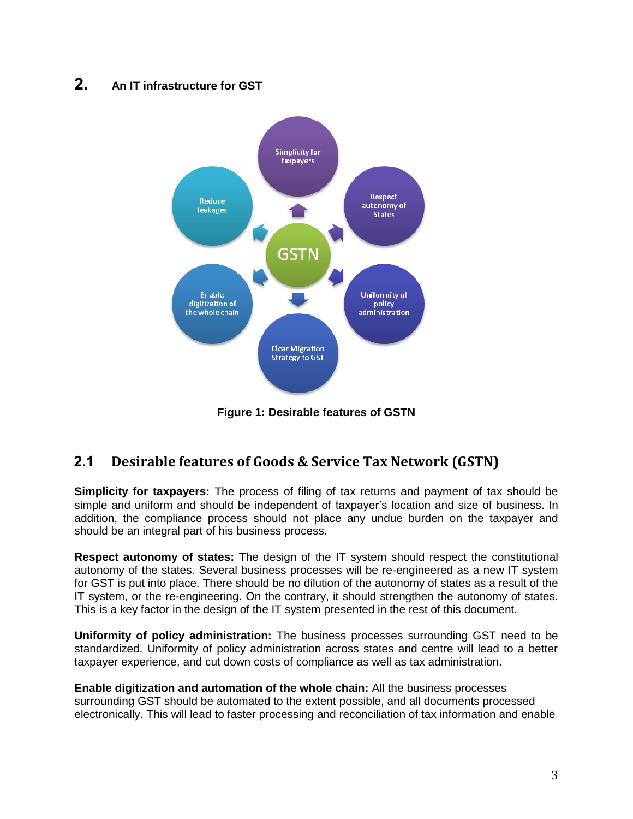#### **2. An IT infrastructure for GST**



**Figure 1: Desirable features of GSTN**

## **2.1 Desirable features of Goods & Service Tax Network (GSTN)**

**Simplicity for taxpayers:** The process of filing of tax returns and payment of tax should be simple and uniform and should be independent of taxpayer's location and size of business. In addition, the compliance process should not place any undue burden on the taxpayer and should be an integral part of his business process.

**Respect autonomy of states:** The design of the IT system should respect the constitutional autonomy of the states. Several business processes will be re-engineered as a new IT system for GST is put into place. There should be no dilution of the autonomy of states as a result of the IT system, or the re-engineering. On the contrary, it should strengthen the autonomy of states. This is a key factor in the design of the IT system presented in the rest of this document.

**Uniformity of policy administration:** The business processes surrounding GST need to be standardized. Uniformity of policy administration across states and centre will lead to a better taxpayer experience, and cut down costs of compliance as well as tax administration.

**Enable digitization and automation of the whole chain:** All the business processes surrounding GST should be automated to the extent possible, and all documents processed electronically. This will lead to faster processing and reconciliation of tax information and enable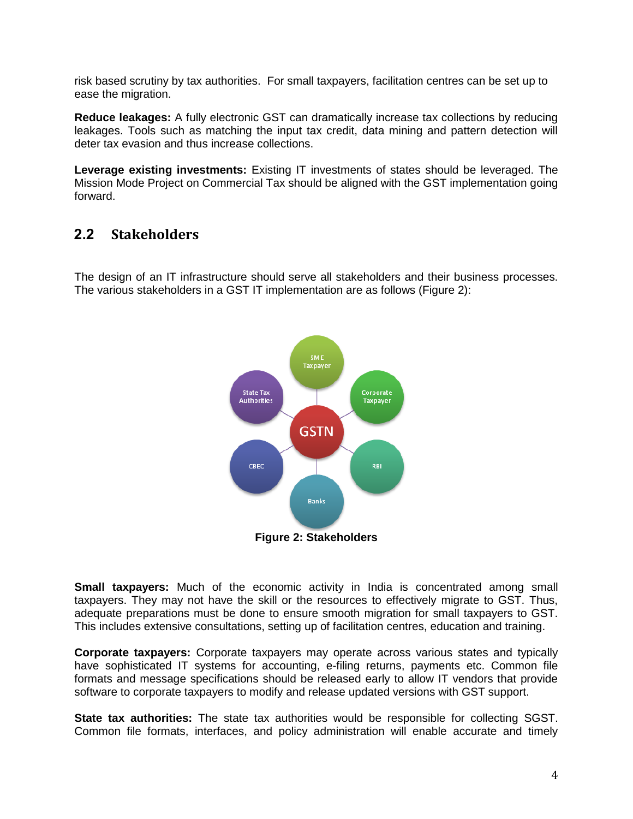risk based scrutiny by tax authorities. For small taxpayers, facilitation centres can be set up to ease the migration.

**Reduce leakages:** A fully electronic GST can dramatically increase tax collections by reducing leakages. Tools such as matching the input tax credit, data mining and pattern detection will deter tax evasion and thus increase collections.

**Leverage existing investments:** Existing IT investments of states should be leveraged. The Mission Mode Project on Commercial Tax should be aligned with the GST implementation going forward.

## **2.2 Stakeholders**

The design of an IT infrastructure should serve all stakeholders and their business processes. The various stakeholders in a GST IT implementation are as follows (Figure 2):



**Small taxpayers:** Much of the economic activity in India is concentrated among small taxpayers. They may not have the skill or the resources to effectively migrate to GST. Thus, adequate preparations must be done to ensure smooth migration for small taxpayers to GST. This includes extensive consultations, setting up of facilitation centres, education and training.

**Corporate taxpayers:** Corporate taxpayers may operate across various states and typically have sophisticated IT systems for accounting, e-filing returns, payments etc. Common file formats and message specifications should be released early to allow IT vendors that provide software to corporate taxpayers to modify and release updated versions with GST support.

**State tax authorities:** The state tax authorities would be responsible for collecting SGST. Common file formats, interfaces, and policy administration will enable accurate and timely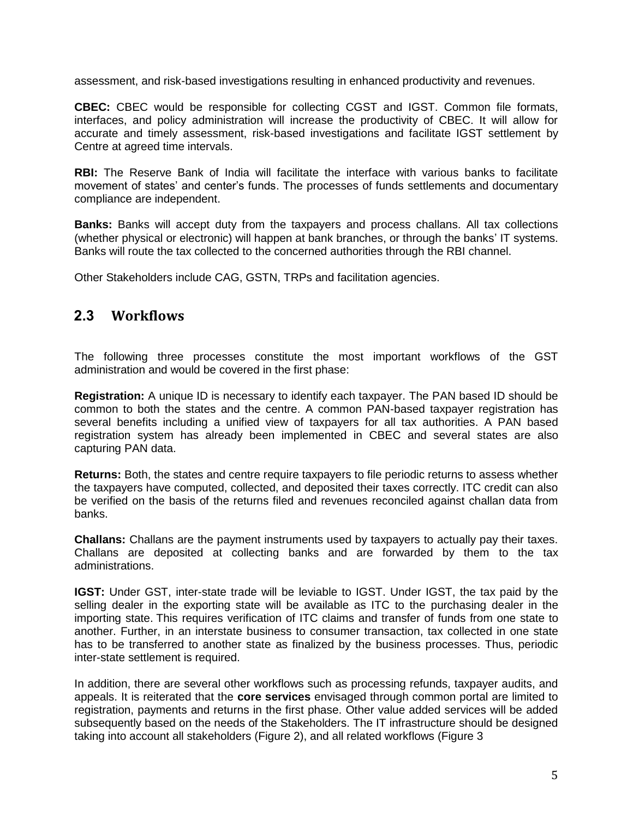assessment, and risk-based investigations resulting in enhanced productivity and revenues.

**CBEC:** CBEC would be responsible for collecting CGST and IGST. Common file formats, interfaces, and policy administration will increase the productivity of CBEC. It will allow for accurate and timely assessment, risk-based investigations and facilitate IGST settlement by Centre at agreed time intervals.

**RBI:** The Reserve Bank of India will facilitate the interface with various banks to facilitate movement of states' and center's funds. The processes of funds settlements and documentary compliance are independent.

**Banks:** Banks will accept duty from the taxpayers and process challans. All tax collections (whether physical or electronic) will happen at bank branches, or through the banks' IT systems. Banks will route the tax collected to the concerned authorities through the RBI channel.

Other Stakeholders include CAG, GSTN, TRPs and facilitation agencies.

#### **2.3 Workflows**

The following three processes constitute the most important workflows of the GST administration and would be covered in the first phase:

**Registration:** A unique ID is necessary to identify each taxpayer. The PAN based ID should be common to both the states and the centre. A common PAN-based taxpayer registration has several benefits including a unified view of taxpayers for all tax authorities. A PAN based registration system has already been implemented in CBEC and several states are also capturing PAN data.

**Returns:** Both, the states and centre require taxpayers to file periodic returns to assess whether the taxpayers have computed, collected, and deposited their taxes correctly. ITC credit can also be verified on the basis of the returns filed and revenues reconciled against challan data from banks.

**Challans:** Challans are the payment instruments used by taxpayers to actually pay their taxes. Challans are deposited at collecting banks and are forwarded by them to the tax administrations.

**IGST:** Under GST, inter-state trade will be leviable to IGST. Under IGST, the tax paid by the selling dealer in the exporting state will be available as ITC to the purchasing dealer in the importing state. This requires verification of ITC claims and transfer of funds from one state to another. Further, in an interstate business to consumer transaction, tax collected in one state has to be transferred to another state as finalized by the business processes. Thus, periodic inter-state settlement is required.

In addition, there are several other workflows such as processing refunds, taxpayer audits, and appeals. It is reiterated that the **core services** envisaged through common portal are limited to registration, payments and returns in the first phase. Other value added services will be added subsequently based on the needs of the Stakeholders. The IT infrastructure should be designed taking into account all stakeholders (Figure 2), and all related workflows (Figure 3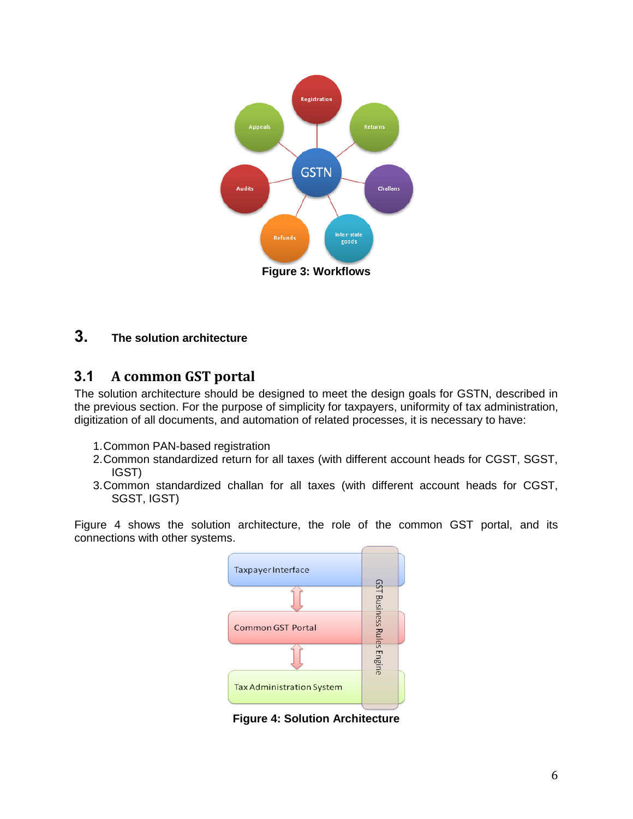

## **3. The solution architecture**

#### **3.1 A common GST portal**

The solution architecture should be designed to meet the design goals for GSTN, described in the previous section. For the purpose of simplicity for taxpayers, uniformity of tax administration, digitization of all documents, and automation of related processes, it is necessary to have:

- 1.Common PAN-based registration
- 2.Common standardized return for all taxes (with different account heads for CGST, SGST, IGST)
- 3.Common standardized challan for all taxes (with different account heads for CGST, SGST, IGST)

Figure 4 shows the solution architecture, the role of the common GST portal, and its connections with other systems.



**Figure 4: Solution Architecture**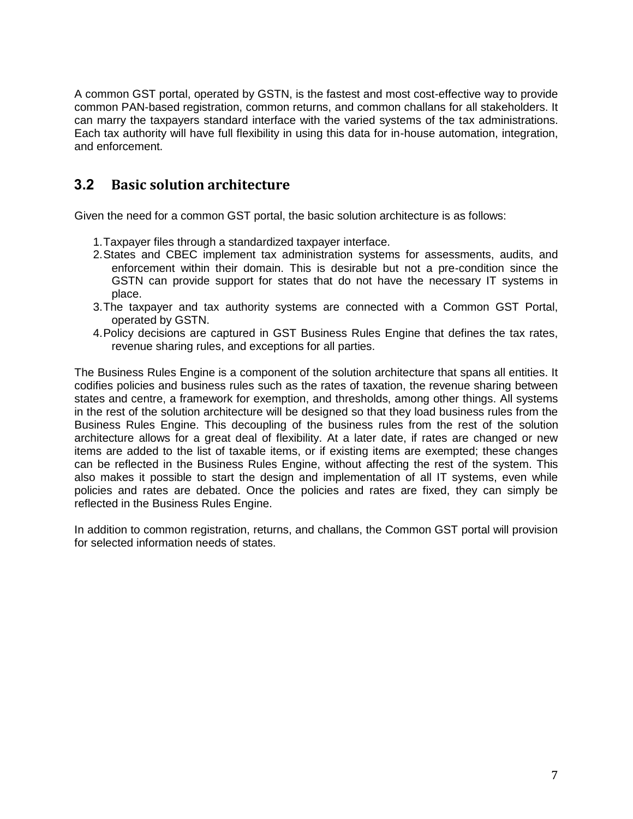A common GST portal, operated by GSTN, is the fastest and most cost-effective way to provide common PAN-based registration, common returns, and common challans for all stakeholders. It can marry the taxpayers standard interface with the varied systems of the tax administrations. Each tax authority will have full flexibility in using this data for in-house automation, integration, and enforcement.

#### **3.2 Basic solution architecture**

Given the need for a common GST portal, the basic solution architecture is as follows:

- 1.Taxpayer files through a standardized taxpayer interface.
- 2.States and CBEC implement tax administration systems for assessments, audits, and enforcement within their domain. This is desirable but not a pre-condition since the GSTN can provide support for states that do not have the necessary IT systems in place.
- 3.The taxpayer and tax authority systems are connected with a Common GST Portal, operated by GSTN.
- 4.Policy decisions are captured in GST Business Rules Engine that defines the tax rates, revenue sharing rules, and exceptions for all parties.

The Business Rules Engine is a component of the solution architecture that spans all entities. It codifies policies and business rules such as the rates of taxation, the revenue sharing between states and centre, a framework for exemption, and thresholds, among other things. All systems in the rest of the solution architecture will be designed so that they load business rules from the Business Rules Engine. This decoupling of the business rules from the rest of the solution architecture allows for a great deal of flexibility. At a later date, if rates are changed or new items are added to the list of taxable items, or if existing items are exempted; these changes can be reflected in the Business Rules Engine, without affecting the rest of the system. This also makes it possible to start the design and implementation of all IT systems, even while policies and rates are debated. Once the policies and rates are fixed, they can simply be reflected in the Business Rules Engine.

In addition to common registration, returns, and challans, the Common GST portal will provision for selected information needs of states.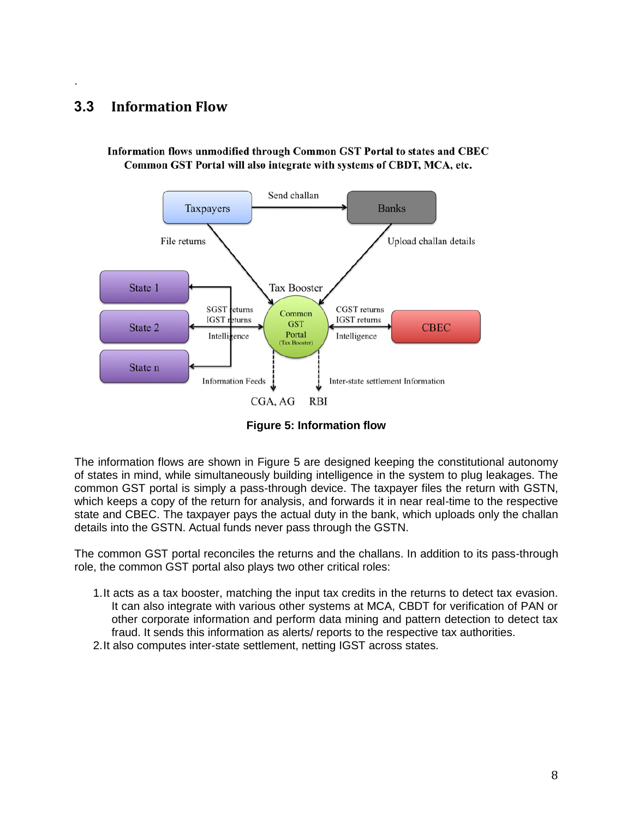## **3.3 Information Flow**

.

#### Information flows unmodified through Common GST Portal to states and CBEC Common GST Portal will also integrate with systems of CBDT, MCA, etc.



**Figure 5: Information flow**

The information flows are shown in Figure 5 are designed keeping the constitutional autonomy of states in mind, while simultaneously building intelligence in the system to plug leakages. The common GST portal is simply a pass-through device. The taxpayer files the return with GSTN, which keeps a copy of the return for analysis, and forwards it in near real-time to the respective state and CBEC. The taxpayer pays the actual duty in the bank, which uploads only the challan details into the GSTN. Actual funds never pass through the GSTN.

The common GST portal reconciles the returns and the challans. In addition to its pass-through role, the common GST portal also plays two other critical roles:

- 1.It acts as a tax booster, matching the input tax credits in the returns to detect tax evasion. It can also integrate with various other systems at MCA, CBDT for verification of PAN or other corporate information and perform data mining and pattern detection to detect tax fraud. It sends this information as alerts/ reports to the respective tax authorities.
- 2.It also computes inter-state settlement, netting IGST across states.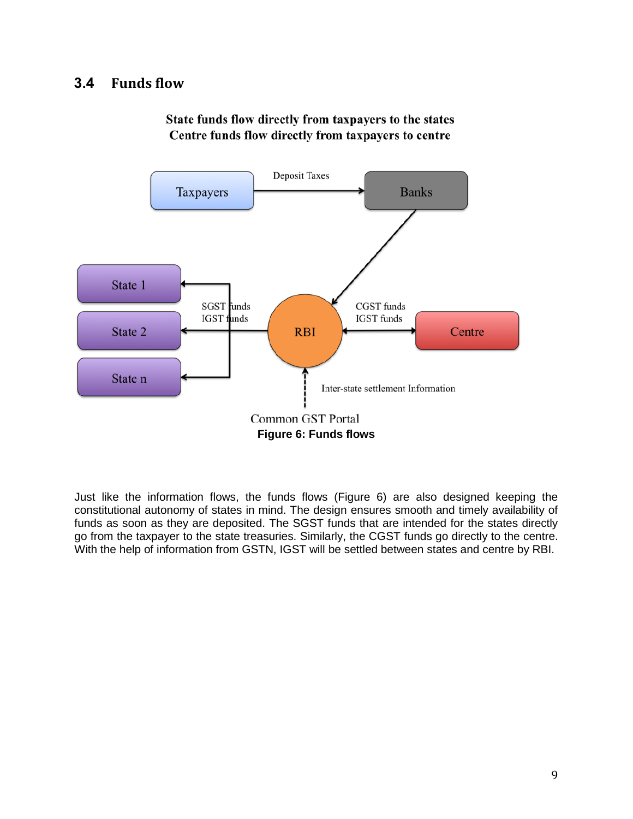#### **3.4 Funds flow**

State funds flow directly from taxpayers to the states Centre funds flow directly from taxpayers to centre



Just like the information flows, the funds flows (Figure 6) are also designed keeping the constitutional autonomy of states in mind. The design ensures smooth and timely availability of funds as soon as they are deposited. The SGST funds that are intended for the states directly go from the taxpayer to the state treasuries. Similarly, the CGST funds go directly to the centre. With the help of information from GSTN, IGST will be settled between states and centre by RBI.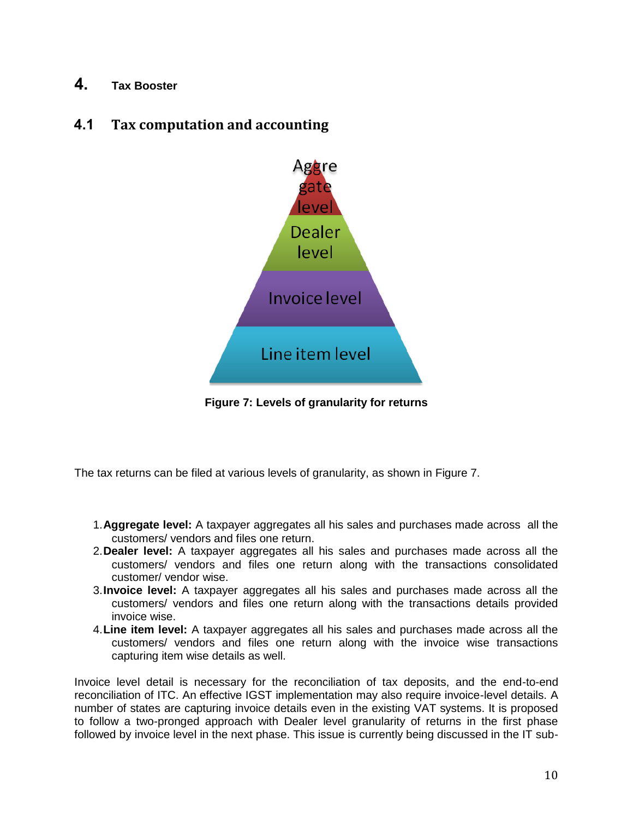#### **4. Tax Booster**

#### **4.1 Tax computation and accounting**



**Figure 7: Levels of granularity for returns**

The tax returns can be filed at various levels of granularity, as shown in Figure 7.

- 1.**Aggregate level:** A taxpayer aggregates all his sales and purchases made across all the customers/ vendors and files one return.
- 2.**Dealer level:** A taxpayer aggregates all his sales and purchases made across all the customers/ vendors and files one return along with the transactions consolidated customer/ vendor wise.
- 3.**Invoice level:** A taxpayer aggregates all his sales and purchases made across all the customers/ vendors and files one return along with the transactions details provided invoice wise.
- 4.**Line item level:** A taxpayer aggregates all his sales and purchases made across all the customers/ vendors and files one return along with the invoice wise transactions capturing item wise details as well.

Invoice level detail is necessary for the reconciliation of tax deposits, and the end-to-end reconciliation of ITC. An effective IGST implementation may also require invoice-level details. A number of states are capturing invoice details even in the existing VAT systems. It is proposed to follow a two-pronged approach with Dealer level granularity of returns in the first phase followed by invoice level in the next phase. This issue is currently being discussed in the IT sub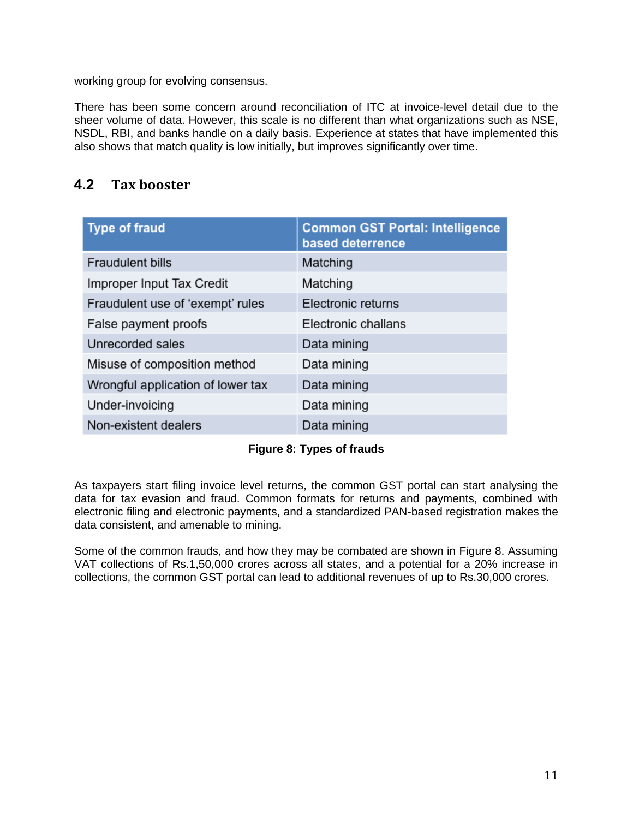working group for evolving consensus.

There has been some concern around reconciliation of ITC at invoice-level detail due to the sheer volume of data. However, this scale is no different than what organizations such as NSE, NSDL, RBI, and banks handle on a daily basis. Experience at states that have implemented this also shows that match quality is low initially, but improves significantly over time.

## **4.2 Tax booster**

| <b>Type of fraud</b>              | <b>Common GST Portal: Intelligence</b><br>based deterrence |
|-----------------------------------|------------------------------------------------------------|
| <b>Fraudulent bills</b>           | Matching                                                   |
| Improper Input Tax Credit         | Matching                                                   |
| Fraudulent use of 'exempt' rules  | Electronic returns                                         |
| False payment proofs              | Electronic challans                                        |
| Unrecorded sales                  | Data mining                                                |
| Misuse of composition method      | Data mining                                                |
| Wrongful application of lower tax | Data mining                                                |
| Under-invoicing                   | Data mining                                                |
| Non-existent dealers              | Data mining                                                |

**Figure 8: Types of frauds**

As taxpayers start filing invoice level returns, the common GST portal can start analysing the data for tax evasion and fraud. Common formats for returns and payments, combined with electronic filing and electronic payments, and a standardized PAN-based registration makes the data consistent, and amenable to mining.

Some of the common frauds, and how they may be combated are shown in Figure 8. Assuming VAT collections of Rs.1,50,000 crores across all states, and a potential for a 20% increase in collections, the common GST portal can lead to additional revenues of up to Rs.30,000 crores.